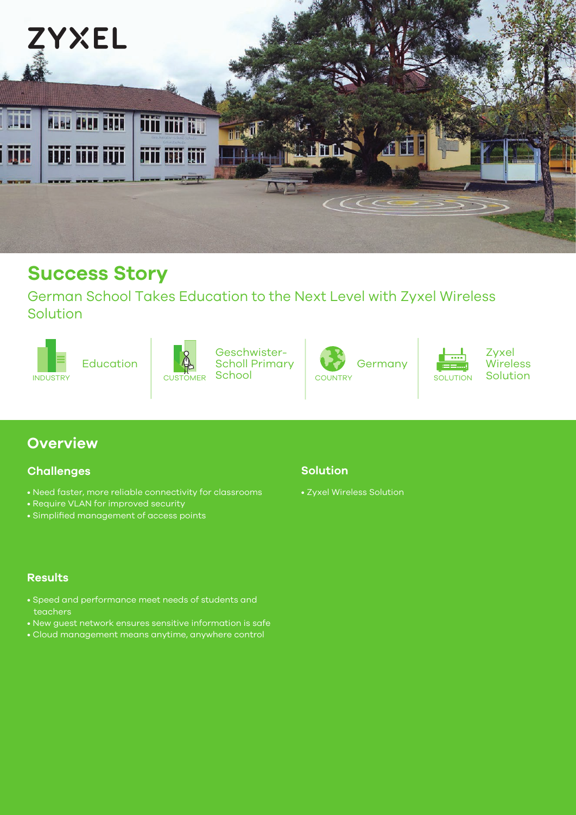

# **Success Story**

German School Takes Education to the Next Level with Zyxel Wireless Solution





Geschwister-Scholl Primary CUSTOMER School



**Germany** 



Zyxel Wireless<br>Solution

### **Overview**

### **Challenges**

- Need faster, more reliable connectivity for classrooms
- Require VLAN for improved security
- Simplified management of access points

### **Results**

- Speed and performance meet needs of students and teachers
- New guest network ensures sensitive information is safe
- Cloud management means anytime, anywhere control

#### **Solution**

• Zyxel Wireless Solution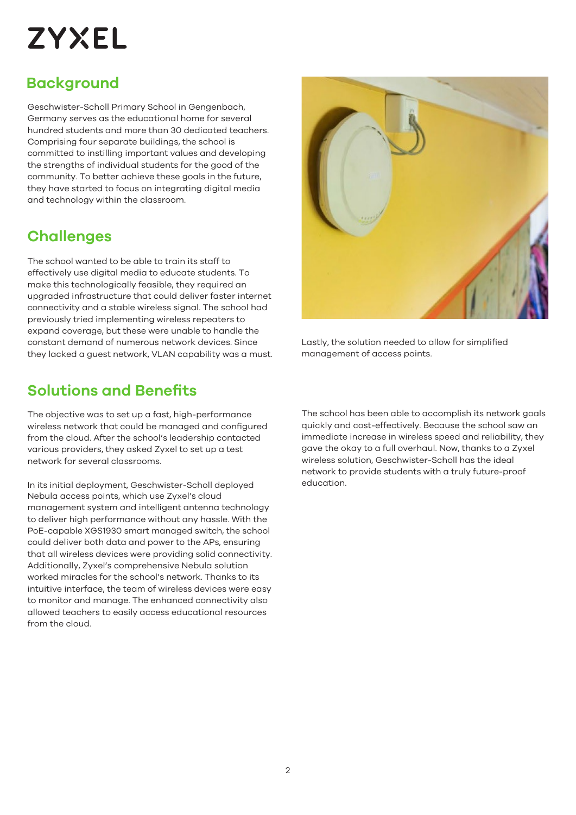# **ZYXEL**

# **Background**

Geschwister-Scholl Primary School in Gengenbach, Germany serves as the educational home for several hundred students and more than 30 dedicated teachers. Comprising four separate buildings, the school is committed to instilling important values and developing the strengths of individual students for the good of the community. To better achieve these goals in the future, they have started to focus on integrating digital media and technology within the classroom.

## **Challenges**

The school wanted to be able to train its staff to effectively use digital media to educate students. To make this technologically feasible, they required an upgraded infrastructure that could deliver faster internet connectivity and a stable wireless signal. The school had previously tried implementing wireless repeaters to expand coverage, but these were unable to handle the constant demand of numerous network devices. Since they lacked a guest network, VLAN capability was a must.

### **Solutions and Benefits**

The objective was to set up a fast, high-performance wireless network that could be managed and configured from the cloud. After the school's leadership contacted various providers, they asked Zyxel to set up a test network for several classrooms.

In its initial deployment, Geschwister-Scholl deployed Nebula access points, which use Zyxel's cloud management system and intelligent antenna technology to deliver high performance without any hassle. With the PoE-capable XGS1930 smart managed switch, the school could deliver both data and power to the APs, ensuring that all wireless devices were providing solid connectivity. Additionally, Zyxel's comprehensive Nebula solution worked miracles for the school's network. Thanks to its intuitive interface, the team of wireless devices were easy to monitor and manage. The enhanced connectivity also allowed teachers to easily access educational resources from the cloud.



Lastly, the solution needed to allow for simplified management of access points.

The school has been able to accomplish its network goals quickly and cost-effectively. Because the school saw an immediate increase in wireless speed and reliability, they gave the okay to a full overhaul. Now, thanks to a Zyxel wireless solution, Geschwister-Scholl has the ideal network to provide students with a truly future-proof education.